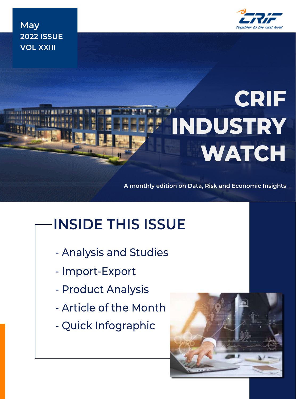

**May 2022 ISSUE VOL XXIII**

# **CRIF INDUSTRY WATCH**

**A monthly edition on Data, Risk and Economic Insights**

# **INSIDE THIS ISSUE**

- Analysis and Studies
- Import-Export
- Product Analysis
- Article of the Month
- Quick Infographic

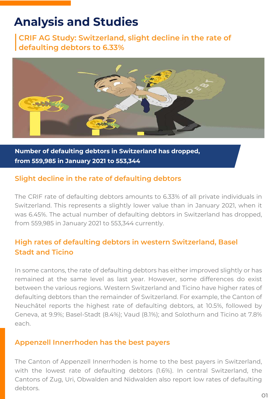### **Analysis and Studies**

**CRIF AG Study: Switzerland, slight decline in the rate of defaulting debtors to 6.33%**



**Number of defaulting debtors in Switzerland has dropped, from 559,985 in January 2021 to 553,344**

### **Slight decline in the rate of defaulting debtors**

The CRIF rate of defaulting debtors amounts to 6.33% of all private individuals in Switzerland. This represents a slightly lower value than in January 2021, when it was 6.45%. The actual number of defaulting debtors in Switzerland has dropped, from 559,985 in January 2021 to 553,344 currently.

### **High rates of defaulting debtors in western Switzerland, Basel Stadt and Ticino**

In some cantons, the rate of defaulting debtors has either improved slightly or has remained at the same level as last year. However, some differences do exist between the various regions. Western Switzerland and Ticino have higher rates of defaulting debtors than the remainder of Switzerland. For example, the Canton of Neuchâtel reports the highest rate of defaulting debtors, at 10.5%, followed by Geneva, at 9.9%; Basel-Stadt (8.4%); Vaud (8.1%); and Solothurn and Ticino at 7.8% each.

### **Appenzell Innerrhoden has the best payers**

The Canton of Appenzell Innerrhoden is home to the best payers in Switzerland, with the lowest rate of defaulting debtors (1.6%). In central Switzerland, the Cantons of Zug, Uri, Obwalden and Nidwalden also report low rates of defaulting debtors.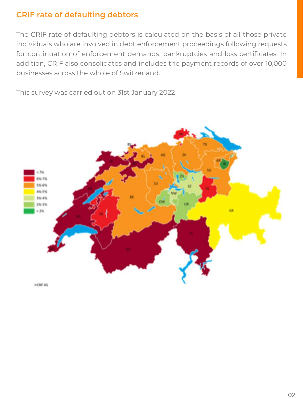### **CRIF rate of defaulting debtors**

The CRIF rate of defaulting debtors is calculated on the basis of all those private individuals who are involved in debt enforcement proceedings following requests for continuation of enforcement demands, bankruptcies and loss certificates. In addition, CRIF also consolidates and includes the payment records of over 10,000 businesses across the whole of Switzerland.

This survey was carried out on 31st January 2022

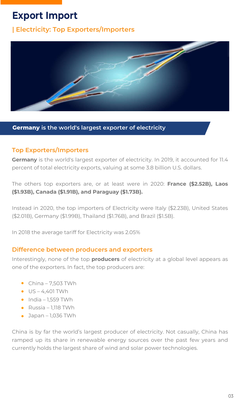### **Export Import**

### **| Electricity: Top Exporters/Importers**



#### **Germany is the world's largest exporter of electricity**

### **Top Exporters/Importers**

**Germany** is the world's largest exporter of electricity. In 2019, it accounted for 11.4 percent of total electricity exports, valuing at some 3.8 billion U.S. dollars.

The others top exporters are, or at least were in 2020: **France (\$2.52B), Laos (\$1.93B), Canada (\$1.91B), and Paraguay (\$1.73B).** 

Instead in 2020, the top importers of Electricity were Italy (\$2.23B), United States (\$2.01B), Germany (\$1.99B), Thailand (\$1.76B), and Brazil (\$1.5B).

In 2018 the average tariff for Electricity was 2.05%

### **Difference between producers and exporters**

Interestingly, none of the top **producers** of electricity at a global level appears as one of the exporters. In fact, the top producers are:

- $\bullet$  China 7,503 TWh
- $\bullet$  US 4,401 TWh
- $\bullet$  India 1,559 TWh
- Russia 1,118 TWh
- $\bullet$  Japan 1,036 TWh

China is by far the world's largest producer of electricity. Not casually, China has ramped up its share in renewable energy sources over the past few years and currently holds the largest share of wind and solar power technologies.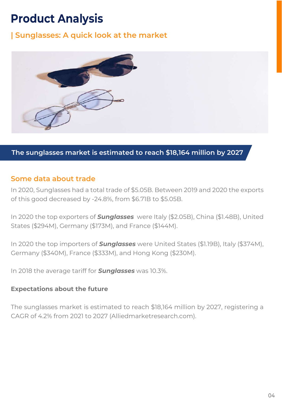### **Product Analysis**

### **| Sunglasses: A quick look at the market**



**The sunglasses market is estimated to reach \$18,164 million by 2027**

#### **Some data about trade**

In 2020, Sunglasses had a total trade of \$5.05B. Between 2019 and 2020 the exports of this good decreased by -24.8%, from \$6.71B to \$5.05B.

In 2020 the top exporters of *Sunglasses* were Italy (\$2.05B), China (\$1.48B), United States (\$294M), Germany (\$173M), and France (\$144M).

In 2020 the top importers of *Sunglasses* were United States (\$1.19B), Italy (\$374M), Germany (\$340M), France (\$333M), and Hong Kong (\$230M).

In 2018 the average tariff for *Sunglasses* was 10.3%.

#### **Expectations about the future**

The sunglasses market is estimated to reach \$18,164 million by 2027, registering a CAGR of 4.2% from 2021 to 2027 (Alliedmarketresearch.com).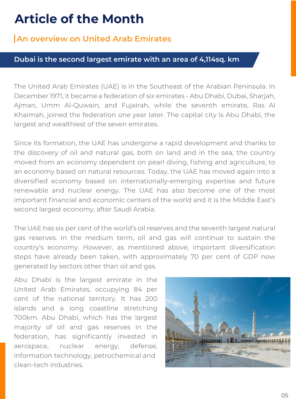### **Article of the Month**

### **An overview on United Arab Emirates**

#### **Dubai is the second largest emirate with an area of 4,114sq. km**

The United Arab Emirates (UAE) is in the Southeast of the Arabian Peninsula. In December 1971, it became a federation of six emirates - Abu Dhabi, Dubai, Sharjah, Ajman, Umm Al-Quwain, and Fujairah, while the seventh emirate, Ras Al Khaimah, joined the federation one year later. The capital city is Abu Dhabi, the largest and wealthiest of the seven emirates.

Since its formation, the UAE has undergone a rapid development and thanks to the discovery of oil and natural gas, both on land and in the sea, the country moved from an economy dependent on pearl diving, fishing and agriculture, to an economy based on natural resources. Today, the UAE has moved again into a diversified economy based on internationally-emerging expertise and future renewable and nuclear energy. The UAE has also become one of the most important financial and economic centers of the world and it is the Middle East's second largest economy, after Saudi Arabia.

The UAE has six per cent of the world's oil reserves and the seventh largest natural gas reserves. In the medium term, oil and gas will continue to sustain the country's economy. However, as mentioned above, important diversification steps have already been taken, with approximately 70 per cent of GDP now generated by sectors other than oil and gas.

Abu Dhabi is the largest emirate in the United Arab Emirates, occupying 84 per cent of the national territory. It has 200 islands and a long coastline stretching 700km. Abu Dhabi, which has the largest majority of oil and gas reserves in the federation, has significantly invested in aerospace, nuclear energy, defense, information technology, petrochemical and clean-tech industries.

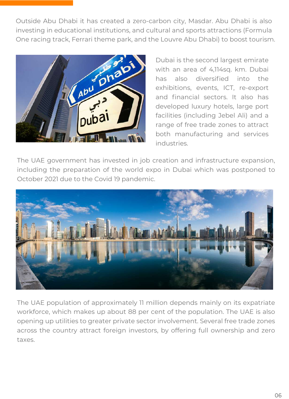Outside Abu Dhabi it has created a zero-carbon city, Masdar. Abu Dhabi is also investing in educational institutions, and cultural and sports attractions (Formula One racing track, Ferrari theme park, and the Louvre Abu Dhabi) to boost tourism.



Dubai is the second largest emirate with an area of 4,114sq. km. Dubai has also diversified into the exhibitions, events, ICT, re-export and financial sectors. It also has developed luxury hotels, large port facilities (including Jebel Ali) and a range of free trade zones to attract both manufacturing and services industries.

The UAE government has invested in job creation and infrastructure expansion, including the preparation of the world expo in Dubai which was postponed to October 2021 due to the Covid 19 pandemic.



The UAE population of approximately 11 million depends mainly on its expatriate workforce, which makes up about 88 per cent of the population. The UAE is also opening up utilities to greater private sector involvement. Several free trade zones across the country attract foreign investors, by offering full ownership and zero taxes.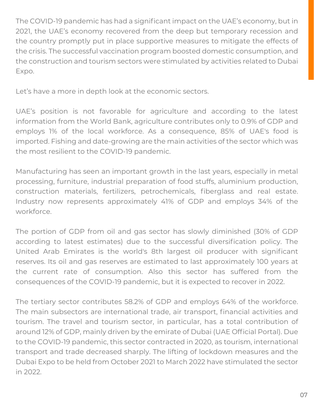The COVID-19 pandemic has had a significant impact on the UAE's economy, but in 2021, the UAE's economy recovered from the deep but temporary recession and the country promptly put in place supportive measures to mitigate the effects of the crisis. The successful vaccination program boosted domestic consumption, and the construction and tourism sectors were stimulated by activities related to Dubai Expo.

Let's have a more in depth look at the economic sectors.

UAE's position is not favorable for agriculture and according to the latest information from the World Bank, agriculture contributes only to 0.9% of GDP and employs 1% of the local workforce. As a consequence, 85% of UAE's food is imported. Fishing and date-growing are the main activities of the sector which was the most resilient to the COVID-19 pandemic.

Manufacturing has seen an important growth in the last years, especially in metal processing, furniture, industrial preparation of food stuffs, aluminium production, construction materials, fertilizers, petrochemicals, fiberglass and real estate. Industry now represents approximately 41% of GDP and employs 34% of the workforce.

The portion of GDP from oil and gas sector has slowly diminished (30% of GDP according to latest estimates) due to the successful diversification policy. The United Arab Emirates is the world's 8th largest oil producer with significant reserves. Its oil and gas reserves are estimated to last approximately 100 years at the current rate of consumption. Also this sector has suffered from the consequences of the COVID-19 pandemic, but it is expected to recover in 2022.

The tertiary sector contributes 58.2% of GDP and employs 64% of the workforce. The main subsectors are international trade, air transport, financial activities and tourism. The travel and tourism sector, in particular, has a total contribution of around 12% of GDP, mainly driven by the emirate of Dubai (UAE Official Portal). Due to the COVID-19 pandemic, this sector contracted in 2020, as tourism, international transport and trade decreased sharply. The lifting of lockdown measures and the Dubai Expo to be held from October 2021 to March 2022 have stimulated the sector in 2022.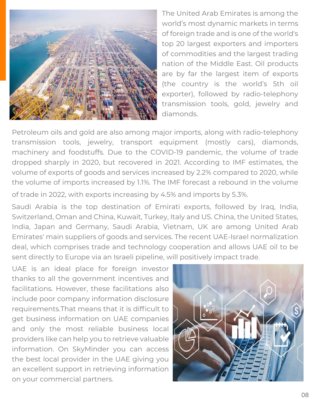

The United Arab Emirates is among the world's most dynamic markets in terms of foreign trade and is one of the world's top 20 largest exporters and importers of commodities and the largest trading nation of the Middle East. Oil products are by far the largest item of exports (the country is the world's 5th oil exporter), followed by radio-telephony transmission tools, gold, jewelry and diamonds.

Petroleum oils and gold are also among major imports, along with radio-telephony transmission tools, jewelry, transport equipment (mostly cars), diamonds, machinery and foodstuffs. Due to the COVID-19 pandemic, the volume of trade dropped sharply in 2020, but recovered in 2021. According to IMF estimates, the volume of exports of goods and services increased by 2.2% compared to 2020, while the volume of imports increased by 1.1%. The IMF forecast a rebound in the volume of trade in 2022, with exports increasing by 4.5% and imports by 5.3%.

Saudi Arabia is the top destination of Emirati exports, followed by Iraq, India, Switzerland, Oman and China, Kuwait, Turkey, Italy and US. China, the United States, India, Japan and Germany, Saudi Arabia, Vietnam, UK are among United Arab Emirates' main suppliers of goods and services. The recent UAE-Israel normalization deal, which comprises trade and technology cooperation and allows UAE oil to be sent directly to Europe via an Israeli pipeline, will positively impact trade.

UAE is an ideal place for foreign investor thanks to all the government incentives and facilitations. However, these facilitations also include poor company information disclosure requirements.That means that it is difficult to get business information on UAE companies and only the most reliable business local providers like can help you to retrieve valuable information. On SkyMinder you can access the best local provider in the UAE giving you an excellent support in retrieving information on your commercial partners.

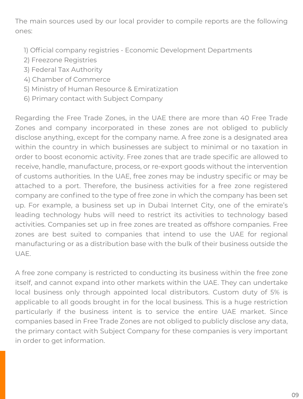The main sources used by our local provider to compile reports are the following ones:

- 1) Official company registries Economic Development Departments
- 2) Freezone Registries
- 3) Federal Tax Authority
- 4) Chamber of Commerce
- 5) Ministry of Human Resource & Emiratization
- 6) Primary contact with Subject Company

Regarding the Free Trade Zones, in the UAE there are more than 40 Free Trade Zones and company incorporated in these zones are not obliged to publicly disclose anything, except for the company name. A free zone is a designated area within the country in which businesses are subject to minimal or no taxation in order to boost economic activity. Free zones that are trade specific are allowed to receive, handle, manufacture, process, or re-export goods without the intervention of customs authorities. In the UAE, free zones may be industry specific or may be attached to a port. Therefore, the business activities for a free zone registered company are confined to the type of free zone in which the company has been set up. For example, a business set up in Dubai Internet City, one of the emirate's leading technology hubs will need to restrict its activities to technology based activities. Companies set up in free zones are treated as offshore companies. Free zones are best suited to companies that intend to use the UAE for regional manufacturing or as a distribution base with the bulk of their business outside the UAE.

A free zone company is restricted to conducting its business within the free zone itself, and cannot expand into other markets within the UAE. They can undertake local business only through appointed local distributors. Custom duty of 5% is applicable to all goods brought in for the local business. This is a huge restriction particularly if the business intent is to service the entire UAE market. Since companies based in Free Trade Zones are not obliged to publicly disclose any data, the primary contact with Subject Company for these companies is very important in order to get information.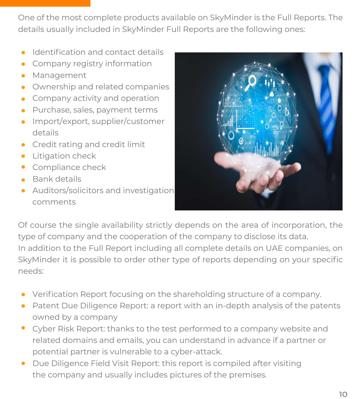One of the most complete products available on SkyMinder is the Full Reports. The details usually included in SkyMinder Full Reports are the following ones:

- **Identification and contact details**
- **•** Company registry information
- **•** Management
- **•** Ownership and related companies
- **•** Company activity and operation
- Purchase, sales, payment terms
- Import/export, supplier/customer details
- **•** Credit rating and credit limit
- **•** Litigation check
- **Compliance check**
- Bank details
- Auditors/solicitors and investigation comments



Of course the single availability strictly depends on the area of incorporation, the type of company and the cooperation of the company to disclose its data. In addition to the Full Report including all complete details on UAE companies, on SkyMinder it is possible to order other type of reports depending on your specific needs:

- Verification Report focusing on the shareholding structure of a company.
- Patent Due Diligence Report: a report with an in-depth analysis of the patents owned by a company
- Cyber Risk Report: thanks to the test performed to a company website and related domains and emails, you can understand in advance if a partner or potential partner is vulnerable to a cyber-attack.
- Due Diligence Field Visit Report: this report is compiled after visiting the company and usually includes pictures of the premises.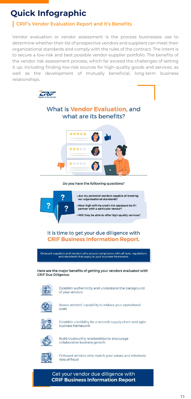## **Quick Infographic**

### **CRIF's Vendor Evaluation Report and It's Benefits**

Vendor evaluation or vendor assessment is the process businesses use to determine whether their list of prospective vendors and suppliers can meet their organizational standards and comply with the rules of the contract. The intent is to secure a low-risk and best possible vendor-supplier portfolio. The benefits of the vendor risk assessment process, which far exceed the challenges of setting it up, including finding low-risk sources for high-quality goods and services, as well as the development of mutually beneficial, long-term business relationships.



### What is **Vendor Evaluation**, and what are its benefits?



Do you have the following questions?



### It is time to get your due diligence with **CRIF Business Information Report.**

Onboard suppliers and vendors who ensure compliance with all laws, regulations and standards that apply to your business framework.

Here are the major benefits of getting your vendors evaluated with **CRIF Due Diligence:** 



Establish authenticity and understand the background



of your vendors



Assess vendors' capability to reduce your operational costs



Establish credibility for a smooth supply chain and agile business framework



Build trustworthy relationships to encourage collaborative business growth



Onboard vendors who match your values and eliminate risks of fraud

Get your vendor due diligence with **CRIF Business Information Report**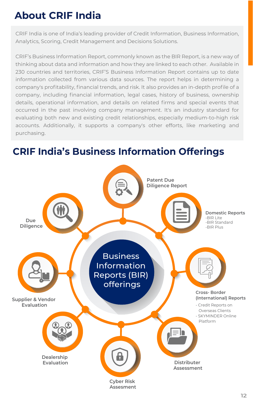### **About CRIF India**

CRIF India is one of India's leading provider of Credit Information, Business Information, Analytics, Scoring, Credit Management and Decisions Solutions.

CRIF's Business Information Report, commonly known as the BIR Report, is a new way of thinking about data and information and how they are linked to each other. Available in 230 countries and territories, CRIF'S Business Information Report contains up to date information collected from various data sources. The report helps in determining a company's profitability, financial trends, and risk. It also provides an in-depth profile of a company, including financial information, legal cases, history of business, ownership details, operational information, and details on related firms and special events that occurred in the past involving company management. It's an industry standard for evaluating both new and existing credit relationships, especially medium-to-high risk accounts. Additionally, it supports a company's other efforts, like marketing and purchasing.

### **Domestic Reports** -BIR Lite -BIR Standard -BIR Plus **Cross- Border (International) Reports** - Credit Reports on Overseas Clients - SKYMINDER Online Platform **Due Diligence Supplier & Vendor Evaluation Dealership Evaluation** Business Information Reports (BIR) offerings **Distributer Assessment Patent Due Diligence Report**

### **CRIF India's Business Information Offerings**

**Cyber Risk Assesment**